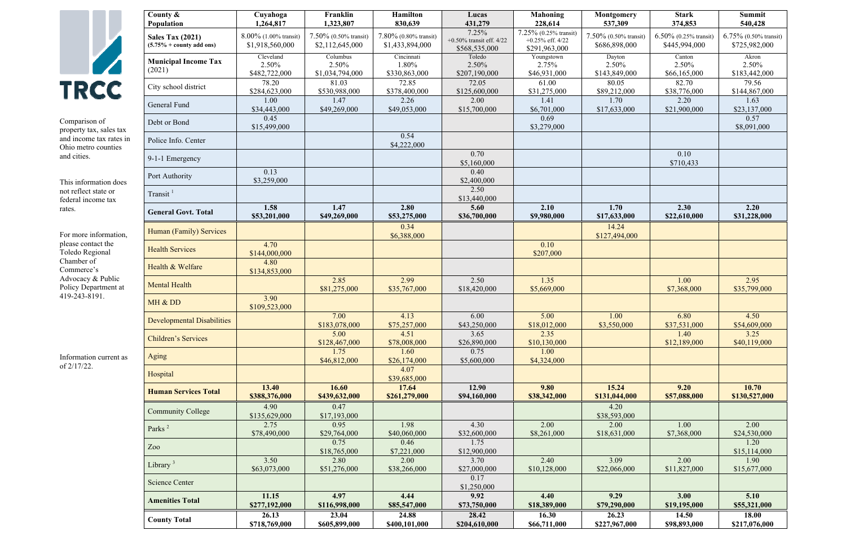

Comparison of property tax, sales tax and income tax rates in Ohio metro counties and cities.

This information does not reflect state or federal income tax rates.

For more information, please contact the Toledo Regional Chamber of Commerce's Advocacy & Public Policy Department at 419-243-8191.

Information current as of 2/17/22.

| County $\&$<br>Population                                     | Cuyahoga<br>1,264,817                       | Franklin<br>1,323,807                       | Hamilton<br>830,639                      | Lucas<br>431,279                                      | <b>Mahoning</b><br>228,614                                   | <b>Montgomery</b><br>537,309           | <b>Stark</b><br>374,853                   | Summit<br>540,428                         |
|---------------------------------------------------------------|---------------------------------------------|---------------------------------------------|------------------------------------------|-------------------------------------------------------|--------------------------------------------------------------|----------------------------------------|-------------------------------------------|-------------------------------------------|
| <b>Sales Tax (2021)</b><br>$(5.75\% + \text{county add ons})$ | $8.00\%$ (1.00% transit)<br>\$1,918,560,000 | $7.50\%$ (0.50% transit)<br>\$2,112,645,000 | 7.80% (0.80% transit)<br>\$1,433,894,000 | 7.25%<br>$+0.50\%$ transit eff. 4/22<br>\$568,535,000 | 7.25% (0.25% transit)<br>+0.25% eff. $4/22$<br>\$291,963,000 | 7.50% (0.50% transit)<br>\$686,898,000 | $6.50\%$ (0.25% transit)<br>\$445,994,000 | $6.75\%$ (0.50% transit)<br>\$725,982,000 |
| <b>Municipal Income Tax</b><br>(2021)                         | Cleveland<br>2.50%<br>\$482,722,000         | Columbus<br>2.50%<br>\$1,034,794,000        | Cincinnati<br>1.80%<br>\$330,863,000     | Toledo<br>2.50%<br>\$207,190,000                      | Youngstown<br>2.75%<br>\$46,931,000                          | Dayton<br>2.50%<br>\$143,849,000       | Canton<br>2.50%<br>\$66,165,000           | Akron<br>2.50%<br>\$183,442,000           |
| City school district                                          | 78.20<br>\$284,623,000                      | 81.03<br>\$530,988,000                      | 72.85<br>\$378,400,000                   | 72.05<br>\$125,600,000                                | 61.00<br>\$31,275,000                                        | 80.05<br>\$89,212,000                  | 82.70<br>\$38,776,000                     | 79.56<br>\$144,867,000                    |
| General Fund                                                  | 1.00<br>\$34,443,000                        | 1.47<br>\$49,269,000                        | 2.26<br>\$49,053,000                     | 2.00<br>\$15,700,000                                  | 1.41<br>\$6,701,000                                          | 1.70<br>\$17,633,000                   | 2.20<br>\$21,900,000                      | 1.63<br>\$23,137,000                      |
| Debt or Bond                                                  | 0.45<br>\$15,499,000                        |                                             |                                          |                                                       | 0.69<br>\$3,279,000                                          |                                        |                                           | 0.57<br>\$8,091,000                       |
| Police Info. Center                                           |                                             |                                             | 0.54<br>\$4,222,000                      |                                                       |                                                              |                                        |                                           |                                           |
| 9-1-1 Emergency                                               |                                             |                                             |                                          | 0.70<br>\$5,160,000                                   |                                                              |                                        | 0.10<br>\$710,433                         |                                           |
| Port Authority                                                | 0.13<br>\$3,259,000                         |                                             |                                          | 0.40<br>\$2,400,000                                   |                                                              |                                        |                                           |                                           |
| Transit <sup>1</sup>                                          |                                             |                                             |                                          | 2.50<br>\$13,440,000                                  |                                                              |                                        |                                           |                                           |
| <b>General Govt. Total</b>                                    | 1.58<br>\$53,201,000                        | 1.47<br>\$49,269,000                        | 2.80<br>\$53,275,000                     | 5.60<br>\$36,700,000                                  | 2.10<br>\$9,980,000                                          | 1.70<br>\$17,633,000                   | 2.30<br>\$22,610,000                      | 2.20<br>\$31,228,000                      |
| Human (Family) Services                                       |                                             |                                             | 0.34<br>\$6,388,000                      |                                                       |                                                              | 14.24<br>\$127,494,000                 |                                           |                                           |
| <b>Health Services</b>                                        | 4.70<br>\$144,000,000                       |                                             |                                          |                                                       | 0.10<br>\$207,000                                            |                                        |                                           |                                           |
| Health & Welfare                                              | 4.80<br>\$134,853,000                       |                                             |                                          |                                                       |                                                              |                                        |                                           |                                           |
| <b>Mental Health</b>                                          |                                             | 2.85<br>\$81,275,000                        | 2.99<br>\$35,767,000                     | 2.50<br>\$18,420,000                                  | 1.35<br>\$5,669,000                                          |                                        | 1.00<br>\$7,368,000                       | 2.95<br>\$35,799,000                      |
| MH & DD                                                       | 3.90<br>\$109,523,000                       |                                             |                                          |                                                       |                                                              |                                        |                                           |                                           |
| <b>Developmental Disabilities</b>                             |                                             | 7.00<br>\$183,078,000                       | 4.13<br>\$75,257,000                     | 6.00<br>\$43,250,000                                  | 5.00<br>\$18,012,000                                         | 1.00<br>\$3,550,000                    | 6.80<br>\$37,531,000                      | 4.50<br>\$54,609,000                      |
| <b>Children's Services</b>                                    |                                             | 5.00<br>\$128,467,000                       | 4.51<br>\$78,008,000                     | 3.65<br>\$26,890,000                                  | 2.35<br>\$10,130,000                                         |                                        | 1.40<br>\$12,189,000                      | 3.25<br>\$40,119,000                      |
| Aging                                                         |                                             | 1.75<br>\$46,812,000                        | 1.60<br>\$26,174,000                     | 0.75<br>\$5,600,000                                   | 1.00<br>\$4,324,000                                          |                                        |                                           |                                           |
| Hospital                                                      |                                             |                                             | 4.07<br>\$39,685,000                     |                                                       |                                                              |                                        |                                           |                                           |
| <b>Human Services Total</b>                                   | 13.40<br>\$388,376,000                      | 16.60<br>\$439,632,000                      | 17.64<br>\$261,279,000                   | 12.90<br>\$94,160,000                                 | 9.80<br>\$38,342,000                                         | 15.24<br>\$131,044,000                 | 9.20<br>\$57,088,000                      | 10.70<br>\$130,527,000                    |
| <b>Community College</b>                                      | 4.90<br>\$135,629,000                       | 0.47<br>\$17,193,000                        |                                          |                                                       |                                                              | 4.20<br>\$38,593,000                   |                                           |                                           |
| Parks <sup>2</sup>                                            | 2.75<br>\$78,490,000                        | 0.95<br>\$29,764,000                        | 1.98<br>\$40,060,000                     | 4.30<br>\$32,600,000                                  | 2.00<br>\$8,261,000                                          | 2.00<br>\$18,631,000                   | 1.00<br>\$7,368,000                       | 2.00<br>\$24,530,000                      |
| Zoo                                                           |                                             | 0.75<br>\$18,765,000                        | 0.46<br>\$7,221,000                      | 1.75<br>\$12,900,000                                  |                                                              |                                        |                                           | 1.20<br>\$15,114,000                      |
| Library $3$                                                   | 3.50<br>\$63,073,000                        | 2.80<br>\$51,276,000                        | 2.00<br>\$38,266,000                     | 3.70<br>\$27,000,000                                  | 2.40<br>\$10,128,000                                         | 3.09<br>\$22,066,000                   | 2.00<br>\$11,827,000                      | 1.90<br>\$15,677,000                      |
| <b>Science Center</b>                                         |                                             |                                             |                                          | 0.17<br>\$1,250,000                                   |                                                              |                                        |                                           |                                           |
| <b>Amenities Total</b>                                        | 11.15<br>\$277,192,000                      | 4.97<br>\$116,998,000                       | 4.44<br>\$85,547,000                     | 9.92<br>\$73,750,000                                  | 4.40<br>\$18,389,000                                         | 9.29<br>\$79,290,000                   | 3.00<br>\$19,195,000                      | 5.10<br>\$55,321,000                      |
| <b>County Total</b>                                           | 26.13<br>\$718,769,000                      | 23.04<br>\$605,899,000                      | 24.88<br>\$400,101,000                   | 28.42<br>\$204,610,000                                | 16.30<br>\$66,711,000                                        | 26.23<br>\$227,967,000                 | 14.50<br>\$98,893,000                     | 18.00<br>\$217,076,000                    |